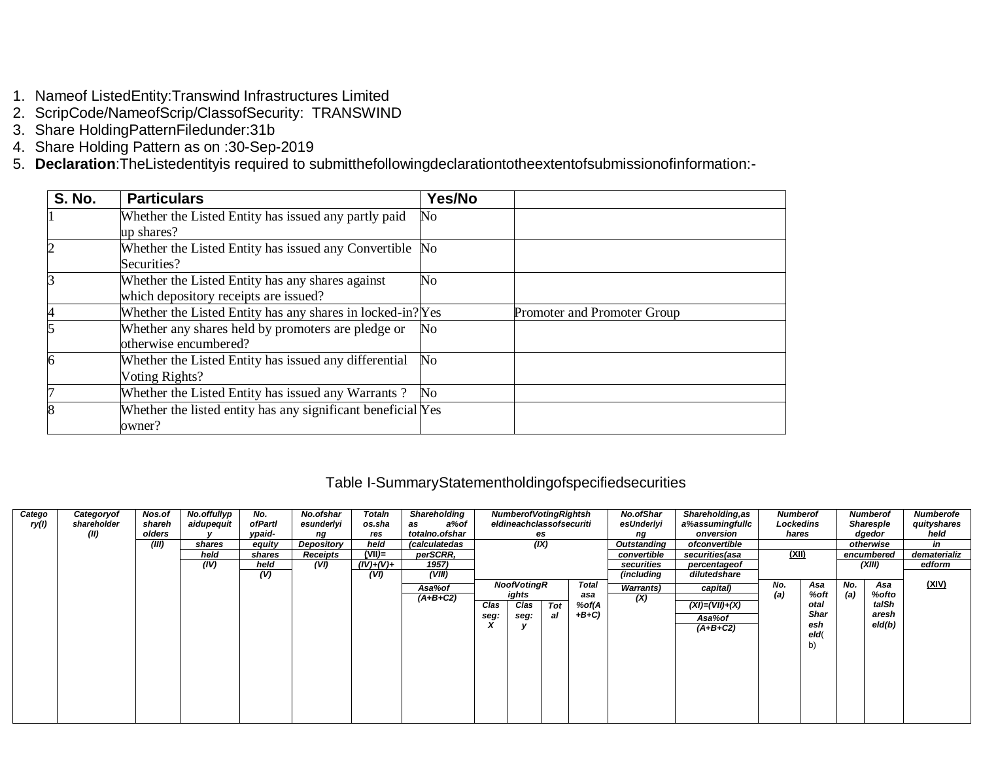- 1. Nameof ListedEntity: Transwind Infrastructures Limited
- 2. ScripCode/NameofScrip/ClassofSecurity: TRANSWIND
- 3. Share HoldingPatternFiledunder:31b
- 4. Share Holding Pattern as on :30-Sep-2019
- 5. Declaration: The Listedentity is required to submitthe following declaration to the extent of submission of information:-

| <b>S. No.</b> | <b>Particulars</b>                                                                        | Yes/No         |                             |
|---------------|-------------------------------------------------------------------------------------------|----------------|-----------------------------|
|               | Whether the Listed Entity has issued any partly paid<br>up shares?                        | No             |                             |
| 2             | Whether the Listed Entity has issued any Convertible No<br>Securities?                    |                |                             |
| 3             | Whether the Listed Entity has any shares against<br>which depository receipts are issued? | N <sub>o</sub> |                             |
| 4             | Whether the Listed Entity has any shares in locked-in? Yes                                |                | Promoter and Promoter Group |
|               | Whether any shares held by promoters are pledge or<br>otherwise encumbered?               | No             |                             |
| 6             | Whether the Listed Entity has issued any differential<br>Voting Rights?                   | $\rm No$       |                             |
| 7             | Whether the Listed Entity has issued any Warrants?                                        | No.            |                             |
| 8             | Whether the listed entity has any significant beneficial Yes<br>owner?                    |                |                             |

### Table I-SummaryStatementholdingofspecifiedsecurities

| Catego<br>ry(l) | Categoryof<br>shareholder<br>(II) | Nos.of<br>shareh<br>olders<br>(III) | No.offullyp<br>aidupequit<br>shares<br>held | No.<br>ofPartl<br>vpaid-<br>equity<br>shares | No.ofshar<br>esunderlyi<br>ng<br>Depository<br>Receipts | Totaln<br>os.sha<br>res<br>held<br>$(VII)=$ | <b>Shareholding</b><br>a%of<br>as<br>totalno.ofshar<br>(calculatedas<br>perSCRR, |              | <b>Numberof Voting Rightsh</b><br>eldineachclassofsecuriti<br>(IX) | es        |                                        | <b>No.ofShar</b><br>esUnderlyi<br>ng<br>Outstanding<br>convertible | <b>Shareholding, as</b><br>a%assumingfullc<br>onversion<br>ofconvertible<br>securities(asa | <b>Numberof</b><br>Lockedins<br>hares<br>(XII) |                                                         |            | <b>Numberof</b><br>Sharesple<br>dgedor<br>otherwise<br>encumbered | <b>Numberofe</b><br>quityshares<br>held<br>in<br>dematerializ |
|-----------------|-----------------------------------|-------------------------------------|---------------------------------------------|----------------------------------------------|---------------------------------------------------------|---------------------------------------------|----------------------------------------------------------------------------------|--------------|--------------------------------------------------------------------|-----------|----------------------------------------|--------------------------------------------------------------------|--------------------------------------------------------------------------------------------|------------------------------------------------|---------------------------------------------------------|------------|-------------------------------------------------------------------|---------------------------------------------------------------|
|                 |                                   |                                     | (IV)                                        | held<br>(V)                                  | (VI)                                                    | $(IV)+(V)+$<br>(VI)                         | 1957)<br>(VIII)<br>Asa%of<br>$(A+B+C2)$                                          | Clas<br>seg: | <b>NoofVotingR</b><br>ights<br>Clas<br>seg:                        | Tot<br>al | <b>Total</b><br>asa<br>%of(A<br>$+B+C$ | securities<br>(including<br><b>Warrants)</b><br>(X)                | percentageof<br>dilutedshare<br>capital)<br>$(XI) = (VII) + (X)$<br>Asa%of<br>$(A+B+C2)$   | No.<br>(a)                                     | Asa<br>%oft<br>otal<br><b>Shar</b><br>esh<br>eld(<br>b) | No.<br>(a) | (XIII)<br>Asa<br>%ofto<br>talSh<br>aresh<br>eld(b)                | edform<br>(XIV)                                               |
|                 |                                   |                                     |                                             |                                              |                                                         |                                             |                                                                                  |              |                                                                    |           |                                        |                                                                    |                                                                                            |                                                |                                                         |            |                                                                   |                                                               |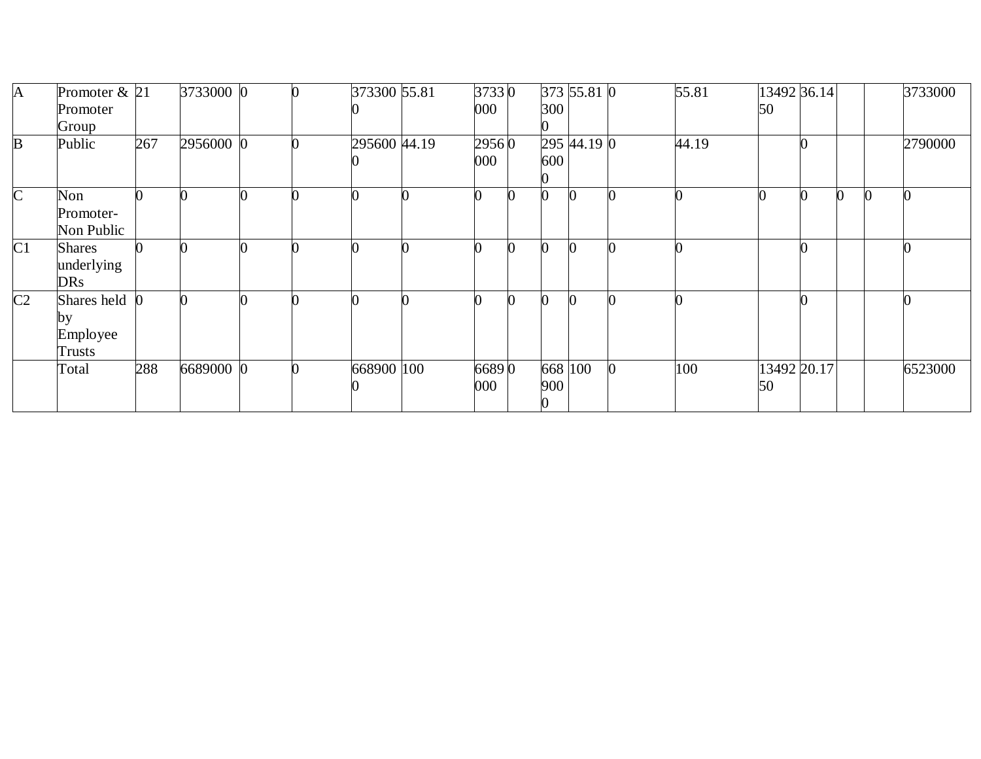| A              | Promoter $& 21$ |     | 3733000 0 |  | 373300 55.81 | 37330   |     | 373 55.81 0 | 55.81 | 13492 36.14 |  | 3733000 |
|----------------|-----------------|-----|-----------|--|--------------|---------|-----|-------------|-------|-------------|--|---------|
|                | Promoter        |     |           |  |              | $000\,$ | 300 |             |       | 50          |  |         |
|                | Group           |     |           |  |              |         |     |             |       |             |  |         |
| B              | Public          | 267 | 2956000 0 |  | 295600 44.19 | 29560   |     | 295 44.19 0 | 44.19 |             |  | 2790000 |
|                |                 |     |           |  |              | 000     | 600 |             |       |             |  |         |
|                |                 |     |           |  |              |         |     |             |       |             |  |         |
| $\mathsf{C}$   | Non             |     |           |  |              |         |     |             |       |             |  |         |
|                | Promoter-       |     |           |  |              |         |     |             |       |             |  |         |
|                | Non Public      |     |           |  |              |         |     |             |       |             |  |         |
| C <sub>1</sub> | <b>Shares</b>   |     |           |  |              |         | 0   |             |       |             |  |         |
|                | underlying      |     |           |  |              |         |     |             |       |             |  |         |
|                | <b>DRs</b>      |     |           |  |              |         |     |             |       |             |  |         |
| C <sub>2</sub> | Shares held     |     |           |  |              |         | 0   |             |       |             |  |         |
|                | by              |     |           |  |              |         |     |             |       |             |  |         |
|                | Employee        |     |           |  |              |         |     |             |       |             |  |         |
|                | Trusts          |     |           |  |              |         |     |             |       |             |  |         |
|                | Total           | 288 | 6689000 0 |  | 668900 100   | 66890   |     | 668 100     | 100   | 13492 20.17 |  | 6523000 |
|                |                 |     |           |  |              | 000     | 900 |             |       | 50          |  |         |
|                |                 |     |           |  |              |         |     |             |       |             |  |         |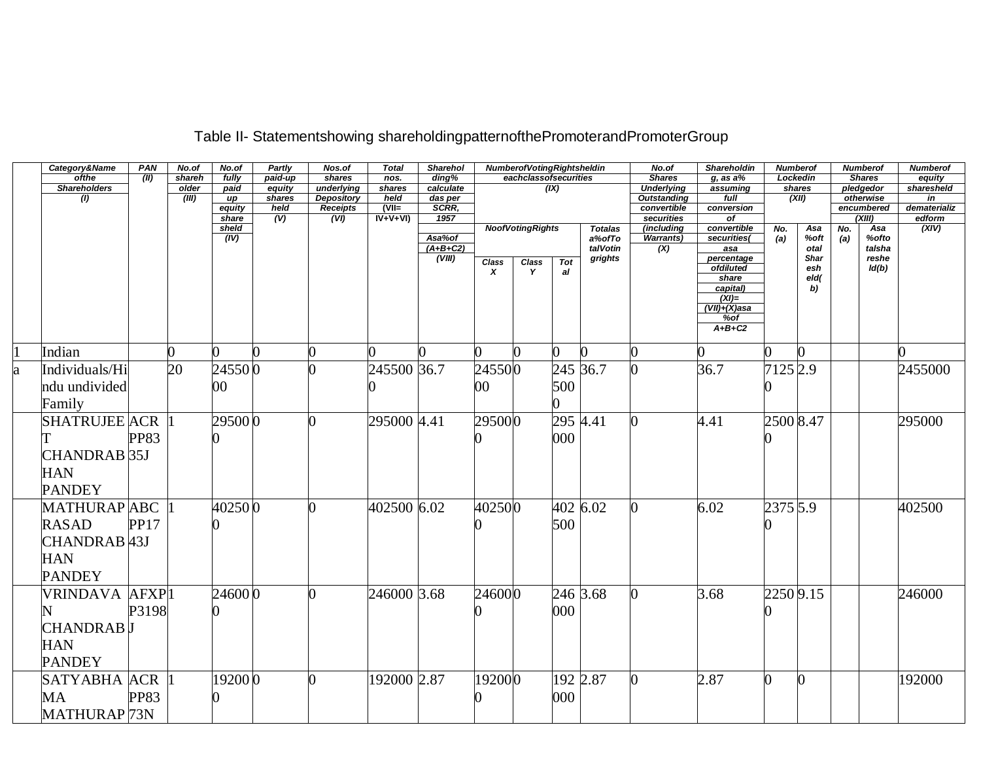|   | Category&Name            | PAN         | No.of  | No.of           | Partly      | Nos.of            | <b>Total</b>    | <b>Sharehol</b> |              | Numberof Voting Rightsheldin |            |                | No.of                     | Shareholdin            | Numberof  |            |     | <b>Numberof</b>      | <b>Numberof</b>    |
|---|--------------------------|-------------|--------|-----------------|-------------|-------------------|-----------------|-----------------|--------------|------------------------------|------------|----------------|---------------------------|------------------------|-----------|------------|-----|----------------------|--------------------|
|   | ofthe                    | (II)        | shareh | fully           | paid-up     | shares            | nos.            | ding%           |              | eachclassofsecurities        |            |                | <b>Shares</b>             | $g$ , as a $%$         |           | Lockedin   |     | <b>Shares</b>        | equity             |
|   | <b>Shareholders</b>      |             | older  | paid            | equity      | underlying        | shares          | calculate       |              |                              | (X)        |                | <b>Underlying</b>         | assuming               |           | shares     |     | pledgedor            | sharesheld         |
|   | (1)                      |             | (III)  | up              | shares      | <b>Depository</b> | held<br>$(VII=$ | das per         |              |                              |            |                | <b>Outstanding</b>        | full                   |           | (XII)      |     | otherwise            | in<br>dematerializ |
|   |                          |             |        | equity<br>share | held<br>(V) | Receipts<br>(VI)  | $IV+V+VI$       | SCRR,<br>1957   |              |                              |            |                | convertible<br>securities | conversion<br>$\sigma$ |           |            |     | encumbered<br>(XIII) | edform             |
|   |                          |             |        | sheld           |             |                   |                 |                 |              | <b>NoofVotingRights</b>      |            | <b>Totalas</b> | (including                | convertible            | No.       | Asa        | No. | Asa                  | (XIV)              |
|   |                          |             |        | (IV)            |             |                   |                 | Asa%of          |              |                              |            | a%ofTo         | <b>Warrants)</b>          | securities(            | (a)       | %oft       | (a) | %ofto                |                    |
|   |                          |             |        |                 |             |                   |                 | $(A+B+C2)$      |              |                              |            | talVotin       | (X)                       | asa                    |           | otal       |     | talsha               |                    |
|   |                          |             |        |                 |             |                   |                 | (VIII)          | <b>Class</b> | Class                        | <b>Tot</b> | grights        |                           | percentage             |           | Shar       |     | reshe                |                    |
|   |                          |             |        |                 |             |                   |                 |                 | x            | Y                            | al         |                |                           | ofdiluted              |           | esh        |     | Id(b)                |                    |
|   |                          |             |        |                 |             |                   |                 |                 |              |                              |            |                |                           | share<br>capital)      |           | eld(<br>b) |     |                      |                    |
|   |                          |             |        |                 |             |                   |                 |                 |              |                              |            |                |                           | $(XI)=$                |           |            |     |                      |                    |
|   |                          |             |        |                 |             |                   |                 |                 |              |                              |            |                |                           | $(VII)+(X)$ asa        |           |            |     |                      |                    |
|   |                          |             |        |                 |             |                   |                 |                 |              |                              |            |                |                           | %of                    |           |            |     |                      |                    |
|   |                          |             |        |                 |             |                   |                 |                 |              |                              |            |                |                           | $A+B+C2$               |           |            |     |                      |                    |
|   |                          |             |        |                 |             |                   |                 |                 |              |                              |            |                |                           |                        |           |            |     |                      |                    |
|   | Indian                   |             |        |                 | 0           |                   |                 |                 |              |                              |            |                | O.                        | ∩                      |           |            |     |                      |                    |
| a | Individuals/Hi           |             | 20     | 245500          |             |                   | 245500 36.7     |                 | 245500       |                              |            | 245 36.7       |                           | 36.7                   | 7125 2.9  |            |     |                      | 2455000            |
|   | ndu undivided            |             |        | 00              |             |                   |                 |                 | 00           |                              | 500        |                |                           |                        |           |            |     |                      |                    |
|   | Family                   |             |        |                 |             |                   |                 |                 |              |                              |            |                |                           |                        |           |            |     |                      |                    |
|   |                          |             |        |                 |             |                   |                 |                 |              |                              |            |                |                           |                        |           |            |     |                      |                    |
|   | <b>SHATRUJEE ACR</b>     |             |        | 295000          |             |                   | 295000 4.41     |                 | 295000       |                              | 295 4.41   |                | 0                         | 4.41                   | 2500 8.47 |            |     |                      | 295000             |
|   |                          | <b>PP83</b> |        |                 |             |                   |                 |                 |              |                              | 000        |                |                           |                        |           |            |     |                      |                    |
|   |                          |             |        |                 |             |                   |                 |                 |              |                              |            |                |                           |                        |           |            |     |                      |                    |
|   | CHANDRAB 35J             |             |        |                 |             |                   |                 |                 |              |                              |            |                |                           |                        |           |            |     |                      |                    |
|   | <b>HAN</b>               |             |        |                 |             |                   |                 |                 |              |                              |            |                |                           |                        |           |            |     |                      |                    |
|   | <b>PANDEY</b>            |             |        |                 |             |                   |                 |                 |              |                              |            |                |                           |                        |           |            |     |                      |                    |
|   |                          |             |        |                 |             |                   |                 |                 |              |                              |            |                |                           |                        |           |            |     |                      |                    |
|   | <b>MATHURAP ABC</b>      |             |        | 402500          |             |                   | 402500 6.02     |                 | 402500       |                              |            | 402 6.02       |                           | 6.02                   | 2375 5.9  |            |     |                      | 402500             |
|   | <b>RASAD</b>             | <b>PP17</b> |        |                 |             |                   |                 |                 |              |                              | 500        |                |                           |                        |           |            |     |                      |                    |
|   |                          |             |        |                 |             |                   |                 |                 |              |                              |            |                |                           |                        |           |            |     |                      |                    |
|   | CHANDRAB <sup>[43]</sup> |             |        |                 |             |                   |                 |                 |              |                              |            |                |                           |                        |           |            |     |                      |                    |
|   | <b>HAN</b>               |             |        |                 |             |                   |                 |                 |              |                              |            |                |                           |                        |           |            |     |                      |                    |
|   | <b>PANDEY</b>            |             |        |                 |             |                   |                 |                 |              |                              |            |                |                           |                        |           |            |     |                      |                    |
|   |                          |             |        |                 |             |                   |                 |                 |              |                              |            |                |                           |                        |           |            |     |                      |                    |
|   | VRINDAVA AFXP1           |             |        | 246000          |             |                   | 246000 3.68     |                 | 246000       |                              |            | 246 3.68       | 0                         | 3.68                   | 22509.15  |            |     |                      | 246000             |
|   |                          | P3198       |        |                 |             |                   |                 |                 |              |                              | 000        |                |                           |                        |           |            |     |                      |                    |
|   | CHANDRAB <mark>J</mark>  |             |        |                 |             |                   |                 |                 |              |                              |            |                |                           |                        |           |            |     |                      |                    |
|   |                          |             |        |                 |             |                   |                 |                 |              |                              |            |                |                           |                        |           |            |     |                      |                    |
|   | <b>HAN</b>               |             |        |                 |             |                   |                 |                 |              |                              |            |                |                           |                        |           |            |     |                      |                    |
|   | <b>PANDEY</b>            |             |        |                 |             |                   |                 |                 |              |                              |            |                |                           |                        |           |            |     |                      |                    |
|   | <b>SATYABHA ACR</b>      |             |        | 192000          |             |                   | 192000 2.87     |                 | 192000       |                              |            | 192 2.87       |                           | 2.87                   |           |            |     |                      | 192000             |
|   |                          |             |        |                 |             |                   |                 |                 |              |                              |            |                |                           |                        |           |            |     |                      |                    |
|   | MA                       | <b>PP83</b> |        |                 |             |                   |                 |                 |              |                              | 000        |                |                           |                        |           |            |     |                      |                    |
|   | MATHURAP <sub>73N</sub>  |             |        |                 |             |                   |                 |                 |              |                              |            |                |                           |                        |           |            |     |                      |                    |

# Table II- Statementshowing shareholdingpatternofthePromoterandPromoterGroup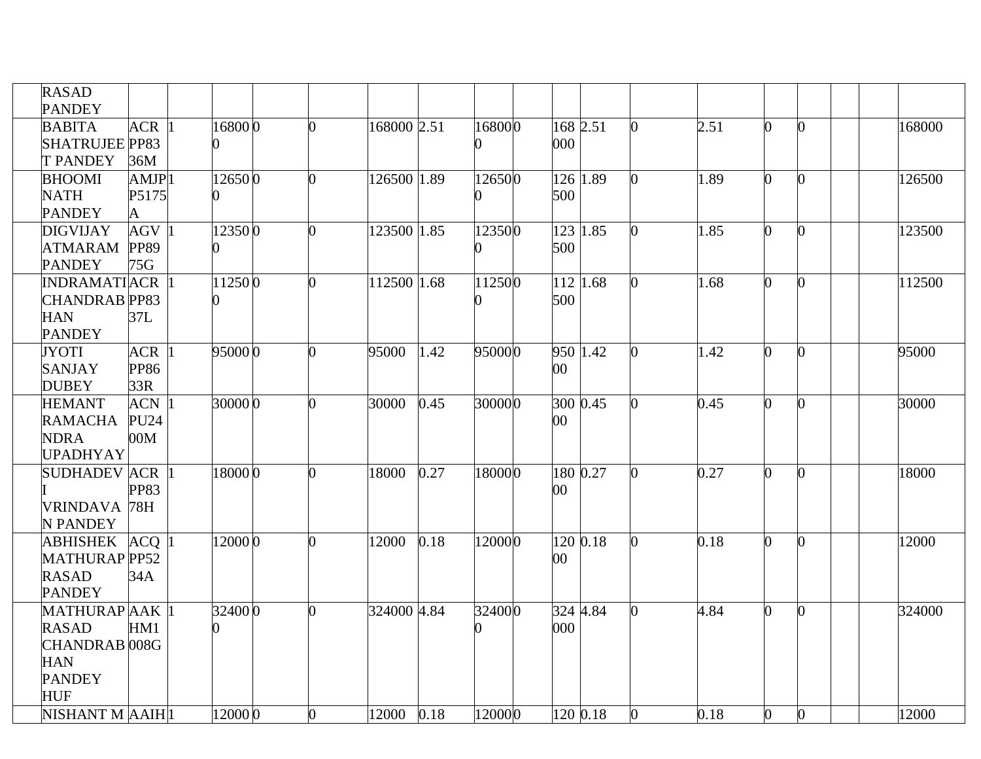| <b>RASAD</b><br><b>PANDEY</b> |                    |         |    |             |      |        |          |                |      |                |              |        |
|-------------------------------|--------------------|---------|----|-------------|------|--------|----------|----------------|------|----------------|--------------|--------|
| <b>BABITA</b>                 | $ACR$ <sup>1</sup> | 168000  | ∩  | 168000 2.51 |      | 168000 | 168 2.51 | $\Omega$       | 2.51 | 0              | U            | 168000 |
| <b>SHATRUJEE PP83</b>         |                    |         |    |             |      |        | 000      |                |      |                |              |        |
| <b>T PANDEY</b>               | 36M                |         |    |             |      |        |          |                |      |                |              |        |
| <b>BHOOMI</b>                 | AMJP <sub>1</sub>  | 126500  | ∩  | 126500 1.89 |      | 126500 | 126 1.89 | O.             | 1.89 | $\Omega$       | <sup>0</sup> | 126500 |
| <b>NATH</b>                   | P5175              |         |    |             |      |        | 500      |                |      |                |              |        |
| <b>PANDEY</b>                 | A                  |         |    |             |      |        |          |                |      |                |              |        |
| <b>DIGVIJAY</b>               | $AGV$ <sup>1</sup> | 123500  | O. | 123500 1.85 |      | 123500 | 123 1.85 | $\Omega$       | 1.85 | $\Omega$       | 0            | 123500 |
| <b>ATMARAM</b>                | <b>PP89</b>        |         |    |             |      |        | 500      |                |      |                |              |        |
| <b>PANDEY</b>                 | 75G                |         |    |             |      |        |          |                |      |                |              |        |
| <b>INDRAMATIACR</b>           |                    | 112500  |    | 112500 1.68 |      | 112500 | 112 1.68 | O.             | 1.68 | O.             |              | 112500 |
| <b>CHANDRAB</b> PP83          |                    |         |    |             |      |        | 500      |                |      |                |              |        |
| <b>HAN</b>                    | 37L                |         |    |             |      |        |          |                |      |                |              |        |
| <b>PANDEY</b>                 |                    |         |    |             |      |        |          |                |      |                |              |        |
| <b>JYOTI</b>                  | <b>ACR</b>         | 950000  | O. | 95000       | 1.42 | 950000 | 950 1.42 | 0              | 1.42 | 0              | <sup>0</sup> | 95000  |
| <b>SANJAY</b><br><b>DUBEY</b> | <b>PP86</b><br>33R |         |    |             |      |        | $00\,$   |                |      |                |              |        |
| <b>HEMANT</b>                 | $ACN$ <sup>1</sup> | 30000 0 | O. | 30000       | 0.45 | 300000 | 300 0.45 |                | 0.45 | O.             |              | 30000  |
| <b>RAMACHA</b>                | <b>PU24</b>        |         |    |             |      |        | $00\,$   |                |      |                |              |        |
| <b>NDRA</b>                   | 00M                |         |    |             |      |        |          |                |      |                |              |        |
| <b>UPADHYAY</b>               |                    |         |    |             |      |        |          |                |      |                |              |        |
| SUDHADEV ACR                  |                    | 18000 0 | ∩  | 18000       | 0.27 | 180000 | 180 0.27 | $\Omega$       | 0.27 | O              |              | 18000  |
|                               | <b>PP83</b>        |         |    |             |      |        | $00\,$   |                |      |                |              |        |
| VRINDAVA 78H                  |                    |         |    |             |      |        |          |                |      |                |              |        |
| N PANDEY                      |                    |         |    |             |      |        |          |                |      |                |              |        |
| <b>ABHISHEK</b>               | $ACQ$  1           | 12000 0 |    | 12000       | 0.18 | 120000 | 120 0.18 | 0              | 0.18 | 0              |              | 12000  |
| <b>MATHURAP PP52</b>          |                    |         |    |             |      |        | 00       |                |      |                |              |        |
| <b>RASAD</b>                  | 34A                |         |    |             |      |        |          |                |      |                |              |        |
| <b>PANDEY</b>                 |                    |         |    |             |      |        |          |                |      |                |              |        |
| MATHURAP AAK 1                |                    | 32400 0 |    | 324000 4.84 |      | 324000 | 324 4.84 | 0              | 4.84 | 0              | ∩            | 324000 |
| <b>RASAD</b>                  | HM1                |         |    |             |      |        | 000      |                |      |                |              |        |
| <b>CHANDRAB</b> 008G          |                    |         |    |             |      |        |          |                |      |                |              |        |
| <b>HAN</b>                    |                    |         |    |             |      |        |          |                |      |                |              |        |
| <b>PANDEY</b>                 |                    |         |    |             |      |        |          |                |      |                |              |        |
| <b>HUF</b>                    |                    |         |    |             |      |        |          |                |      |                |              |        |
| NISHANT M AAIH <sup> 1</sup>  |                    | 12000 0 | 0  | 12000 0.18  |      | 120000 | 120 0.18 | $\overline{0}$ | 0.18 | $\overline{0}$ | $\Omega$     | 12000  |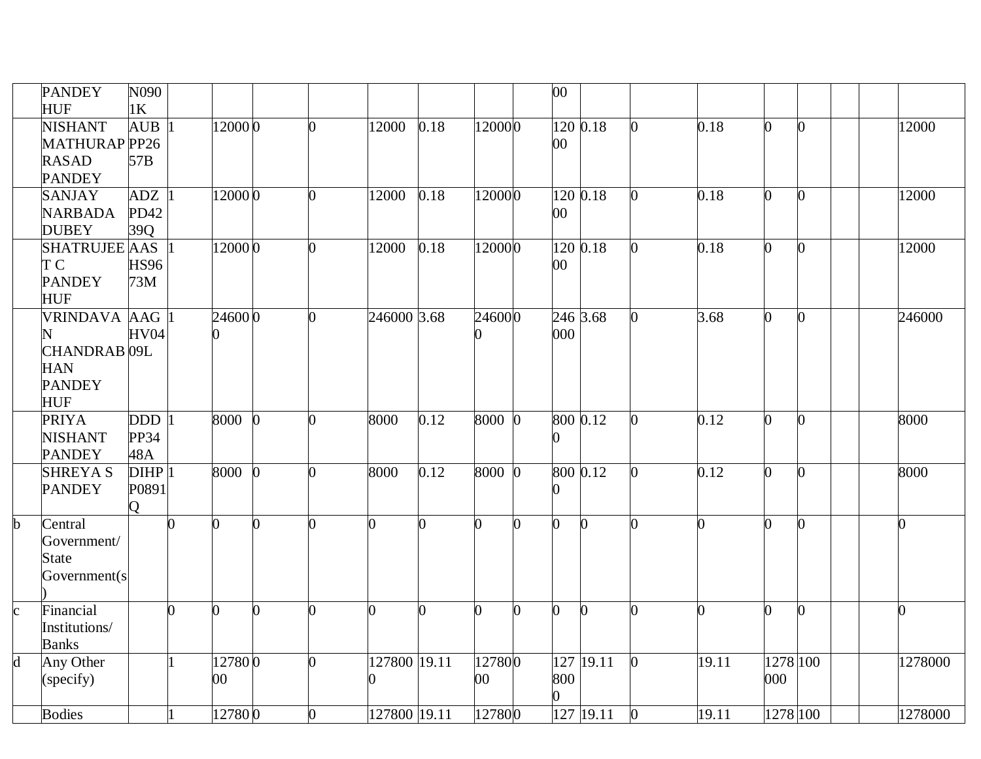|                         | <b>PANDEY</b>                  | N090           |          |        |          |    |              |          |          |   | 00             |              |   |       |                |                |                |
|-------------------------|--------------------------------|----------------|----------|--------|----------|----|--------------|----------|----------|---|----------------|--------------|---|-------|----------------|----------------|----------------|
|                         | <b>HUF</b>                     | 1 <sub>K</sub> |          |        |          |    |              |          |          |   |                |              |   |       |                |                |                |
|                         | <b>NISHANT</b>                 | <b>AUB</b>     |          | 120000 |          | 0  | 12000        | 0.18     | 120000   |   | 120 0.18       |              |   | 0.18  | $\overline{0}$ | $\overline{0}$ | 12000          |
|                         | MATHURAP PP26                  |                |          |        |          |    |              |          |          |   | $00\,$         |              |   |       |                |                |                |
|                         | <b>RASAD</b>                   | 57B            |          |        |          |    |              |          |          |   |                |              |   |       |                |                |                |
|                         | <b>PANDEY</b>                  |                |          |        |          |    |              |          |          |   |                |              |   |       |                |                |                |
|                         | <b>SANJAY</b>                  | <b>ADZ</b>     |          | 120000 |          | 0  | 12000        | 0.18     | 120000   |   | 120 0.18       |              |   | 0.18  | $\overline{0}$ | $\mathbf{0}$   | 12000          |
|                         | <b>NARBADA</b>                 | PD42           |          |        |          |    |              |          |          |   | $00\,$         |              |   |       |                |                |                |
|                         | <b>DUBEY</b>                   | 39Q            |          |        |          |    |              |          |          |   |                |              |   |       |                |                |                |
|                         | <b>SHATRUJEE AAS</b>           |                |          | 120000 |          | 0  | 12000        | 0.18     | 120000   |   | 120 0.18       |              |   | 0.18  | $\Omega$       | $\overline{0}$ | 12000          |
|                         | TС                             | <b>HS96</b>    |          |        |          |    |              |          |          |   | $00\,$         |              |   |       |                |                |                |
|                         | <b>PANDEY</b>                  | 73M            |          |        |          |    |              |          |          |   |                |              |   |       |                |                |                |
|                         | <b>HUF</b>                     |                |          |        |          |    |              |          |          |   |                |              |   |       |                |                |                |
|                         | VRINDAVA AAG                   |                |          | 246000 |          |    | 246000 3.68  |          | 246000   |   | 246 3.68       |              |   | 3.68  | $\Omega$       | $\overline{0}$ | 246000         |
|                         |                                | HV04           |          |        |          |    |              |          |          |   | 000            |              |   |       |                |                |                |
|                         | <b>CHANDRAB</b> <sub>09L</sub> |                |          |        |          |    |              |          |          |   |                |              |   |       |                |                |                |
|                         | <b>HAN</b>                     |                |          |        |          |    |              |          |          |   |                |              |   |       |                |                |                |
|                         | <b>PANDEY</b>                  |                |          |        |          |    |              |          |          |   |                |              |   |       |                |                |                |
|                         | <b>HUF</b>                     |                |          |        |          |    |              |          |          |   |                |              |   |       |                |                |                |
|                         | <b>PRIYA</b>                   | <b>DDD</b>     |          | 8000   | $\Omega$ | ∩  | 8000         | 0.12     | 8000 0   |   | 800 0.12       |              |   | 0.12  | O.             | $\overline{0}$ | 8000           |
|                         | <b>NISHANT</b>                 | PP34           |          |        |          |    |              |          |          |   | ∩              |              |   |       |                |                |                |
|                         | <b>PANDEY</b>                  | 48A            |          |        |          |    |              |          |          |   |                |              |   |       |                |                |                |
|                         | <b>SHREYAS</b>                 | DIHP 1         |          | 8000   | $\Omega$ | O. | 8000         | 0.12     | 8000 0   |   | 800 0.12       |              |   | 0.12  | $\Omega$       | $\overline{0}$ | 8000           |
|                         | <b>PANDEY</b>                  | P0891          |          |        |          |    |              |          |          |   |                |              |   |       |                |                |                |
|                         |                                | O              |          |        |          |    |              |          |          |   |                |              |   |       |                |                |                |
| $\mathbf b$             | Central                        |                | $\Omega$ | 0      | O        | O. | O.           | 0        | O.       | 0 | O.             | $\Omega$     |   | 0     | $\Omega$       | $\mathbf{0}$   | $\overline{0}$ |
|                         | Government/                    |                |          |        |          |    |              |          |          |   |                |              |   |       |                |                |                |
|                         | <b>State</b>                   |                |          |        |          |    |              |          |          |   |                |              |   |       |                |                |                |
|                         | Government(s                   |                |          |        |          |    |              |          |          |   |                |              |   |       |                |                |                |
|                         |                                |                |          |        |          |    |              |          |          |   |                |              |   |       |                |                |                |
| $\mathbf{c}$            | Financial                      |                | $\Omega$ | 0      | 0        | ∩  |              | $\Omega$ | $\Omega$ | 0 | $\overline{0}$ | $\mathbf{0}$ |   | 0     | $\Omega$       | $\overline{0}$ | $\overline{0}$ |
|                         | Institutions/                  |                |          |        |          |    |              |          |          |   |                |              |   |       |                |                |                |
|                         | <b>Banks</b>                   |                |          |        |          |    |              |          |          |   |                |              |   |       |                |                |                |
| $\overline{\mathsf{d}}$ | Any Other                      |                |          | 127800 |          | ∩  | 127800 19.11 |          | 127800   |   |                | 127 19.11    |   | 19.11 | 1278 100       |                | 1278000        |
|                         | (specify)                      |                |          | $00\,$ |          |    |              |          | $00\,$   |   | 800            |              |   |       | 000            |                |                |
|                         | <b>Bodies</b>                  |                |          | 127800 |          | 0  | 127800 19.11 |          | 127800   |   |                | 127 19.11    |   | 19.11 | 1278 100       |                | 1278000        |
|                         |                                |                |          |        |          |    |              |          |          |   |                |              | 0 |       |                |                |                |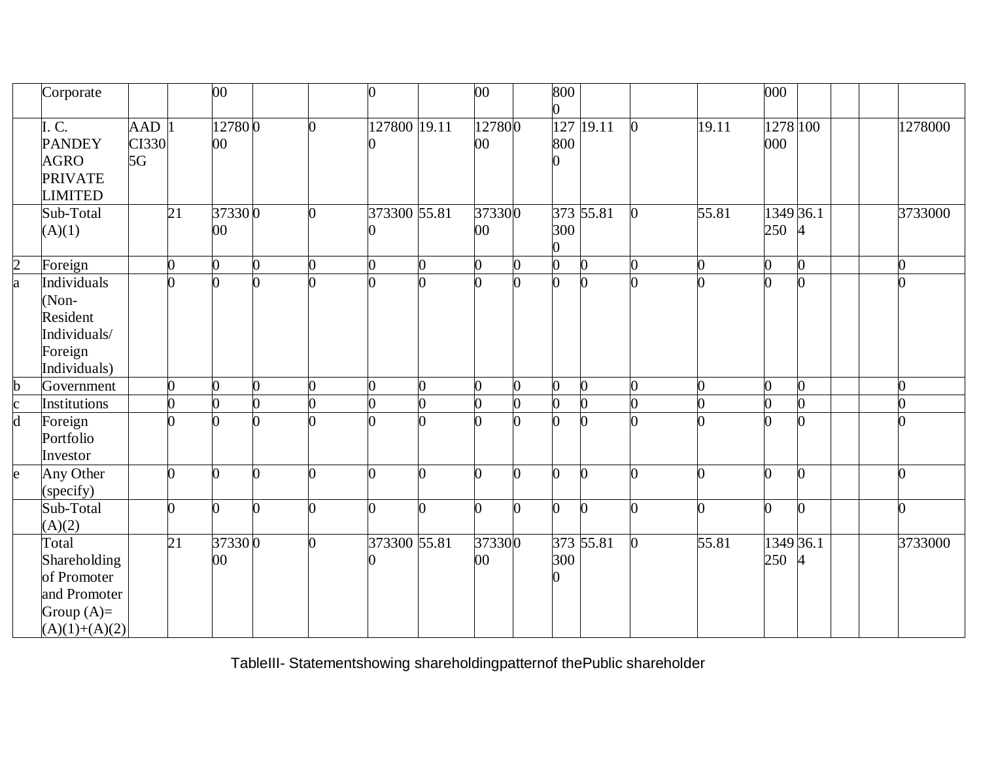|                | Corporate                                                                               |                    |                 | $\overline{00}$ |    | 0                 | $\overline{00}$  |              | 800            |           |                |                | 000              |                  |          |
|----------------|-----------------------------------------------------------------------------------------|--------------------|-----------------|-----------------|----|-------------------|------------------|--------------|----------------|-----------|----------------|----------------|------------------|------------------|----------|
|                | I.C.<br><b>PANDEY</b><br><b>AGRO</b><br><b>PRIVATE</b><br><b>LIMITED</b>                | AAD<br>CI330<br>5G |                 | 127800<br>00    |    | 127800 19.11<br>0 | 127800<br>$00\,$ |              | 127<br>800     | 19.11     | $\Omega$       | 19.11          | 1278 100<br>000  |                  | 1278000  |
|                | Sub-Total<br>(A)(1)                                                                     |                    | $\overline{21}$ | 373300<br>00    | 0  | 373300 55.81<br>0 | 373300<br>00     |              | 300<br>0       | 373 55.81 |                | 55.81          | 250              | 1349 36.1<br>4   | 3733000  |
| $\overline{c}$ | Foreign                                                                                 |                    | O.              | $\overline{0}$  | ∩  | $\overline{0}$    | 0                | ∩            | 0              | $\Omega$  | 0              | 0              | 0                | 0                | ∩        |
| a              | Individuals<br>(Non-<br>Resident<br>Individuals/<br>Foreign<br>Individuals)             |                    | $\Omega$        | $\Omega$        |    | 0                 | $\Omega$         |              |                |           |                | $\Omega$       |                  |                  |          |
| $\mathbf b$    | Government                                                                              |                    | $\overline{0}$  | 0               |    | 0                 | 0                | O            | 0              |           |                | $\overline{0}$ |                  |                  |          |
|                | Institutions                                                                            |                    | O               | 0               | ∩  | 0                 | $\overline{0}$   |              |                |           | 0              | 0              |                  | ∩                |          |
| $\frac{c}{d}$  | Foreign<br>Portfolio<br>Investor                                                        |                    | ∩               |                 |    |                   | ∩                |              |                |           |                |                |                  | ∩                |          |
| e              | Any Other<br>(specify)                                                                  |                    | n               | U               |    | 0                 | ∩                | ∩            | ∩              |           | ∩              | 0              |                  | ∩                |          |
|                | Sub-Total<br>(A)(2)                                                                     |                    | $\Omega$        | $\Omega$        | O. | $\overline{0}$    | 0                | <sub>0</sub> | $\overline{0}$ | $\Omega$  | $\overline{0}$ | 0              |                  | $\boldsymbol{0}$ | $\Omega$ |
|                | Total<br>Shareholding<br>of Promoter<br>and Promoter<br>Group $(A)=$<br>$(A)(1)+(A)(2)$ |                    | $\overline{21}$ | 373300<br>00    | ∩  | 373300 55.81<br>∩ | 373300<br>$00\,$ |              | 300            | 373 55.81 | $\Omega$       | 55.81          | 1349 36.1<br>250 | 4                | 3733000  |

TableIII- Statementshowing shareholdingpatternof thePublic shareholder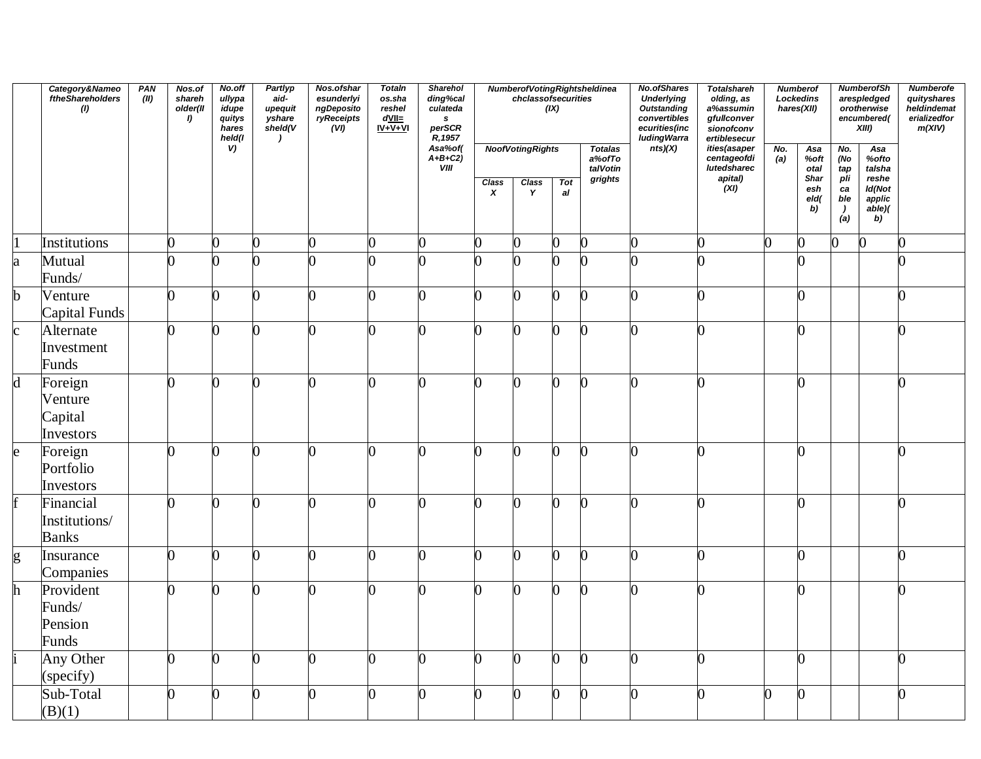|                | Category&Nameo<br>ftheShareholders<br>(1)  | PAN<br>(II) | Nos.of<br>shareh<br>older(II<br>$\bf{I}$ | No.off<br>ullypa<br>idupe<br>quitys<br>hares<br>held(I | Partlyp<br>aid-<br>upequit<br>yshare<br>shell(V | Nos.ofshar<br>esunderlyi<br>ngDeposito<br>ryReceipts<br>(VI) | <b>Totaln</b><br>os.sha<br>reshel<br>$d$ VII=<br>$IV + V + VI$ | <b>Sharehol</b><br>ding%cal<br>culateda<br>$\pmb{s}$<br>perSCR<br>R, 1957 |                                  | chclassofsecurities     | (IX)             | Numberof Voting Rightsheldinea       | No.ofShares<br><b>Underlying</b><br><b>Outstanding</b><br>convertibles<br>ecurities(inc<br>luding Warra | <b>Totalshareh</b><br>olding, as<br>a%assumin<br>gfullconver<br>sionofconv<br>ertiblesecur |            | <b>Numberof</b><br>Lockedins<br>hares(XII) |                                                            | <b>NumberofSh</b><br>arespledged<br>orotherwise<br>encumbered(<br>$XIII$ ) | <b>Numberofe</b><br>quityshares<br>heldindemat<br>erializedfor<br>m(XIV) |
|----------------|--------------------------------------------|-------------|------------------------------------------|--------------------------------------------------------|-------------------------------------------------|--------------------------------------------------------------|----------------------------------------------------------------|---------------------------------------------------------------------------|----------------------------------|-------------------------|------------------|--------------------------------------|---------------------------------------------------------------------------------------------------------|--------------------------------------------------------------------------------------------|------------|--------------------------------------------|------------------------------------------------------------|----------------------------------------------------------------------------|--------------------------------------------------------------------------|
|                |                                            |             |                                          | V)                                                     |                                                 |                                                              |                                                                | Asa%of(<br>$A+B+C2$<br><b>VIII</b>                                        |                                  | <b>NoofVotingRights</b> |                  | <b>Totalas</b><br>a%ofTo<br>talVotin | nts)(X)                                                                                                 | ities(asaper<br>centageofdi<br>lutedsharec                                                 | No.<br>(a) | Asa<br>%oft<br>otal                        | No.<br>(No<br>tap                                          | Asa<br>%ofto<br>talsha                                                     |                                                                          |
|                |                                            |             |                                          |                                                        |                                                 |                                                              |                                                                |                                                                           | <b>Class</b><br>$\boldsymbol{x}$ | <b>Class</b><br>Y       | <b>Tot</b><br>al | grights                              |                                                                                                         | apital)<br>(XI)                                                                            |            | Shar<br>esh<br>eld(<br>b)                  | pİi<br>ca<br>ble<br>$\begin{pmatrix} 1 \\ a \end{pmatrix}$ | reshe<br>Id(Not<br>applic<br>able)(<br>b)                                  |                                                                          |
| $\vert$        | Institutions                               |             | 0                                        | $\overline{0}$                                         | $\overline{0}$                                  | 0                                                            | 0                                                              | ∩                                                                         | 0                                | 0                       | ∩                | $\Omega$                             | n                                                                                                       | 0                                                                                          | 0          | 0                                          | 0                                                          | $\Omega$                                                                   | U                                                                        |
| a              | Mutual<br>Funds/                           |             | 0                                        | Ŋ                                                      |                                                 |                                                              |                                                                |                                                                           | $\Omega$                         |                         |                  |                                      |                                                                                                         | $\cap$                                                                                     |            | 0                                          |                                                            |                                                                            |                                                                          |
| $\mathbf b$    | Venture<br>Capital Funds                   |             | 0                                        | 0                                                      | $\overline{0}$                                  | 0                                                            | U                                                              | n                                                                         | 0                                | O                       | 0                | <sub>0</sub>                         | 0                                                                                                       | 0                                                                                          |            | 0                                          |                                                            |                                                                            | $\overline{0}$                                                           |
| $\mathbf{c}$   | Alternate<br>Investment<br>Funds           |             | 0                                        | 0                                                      | O                                               | O                                                            | ∩                                                              | ∩                                                                         | $\overline{0}$                   | O                       | ∩                | <sup>0</sup>                         | ∩                                                                                                       | O                                                                                          |            | ∩                                          |                                                            |                                                                            | O                                                                        |
| $\mathbf d$    | Foreign<br>Venture<br>Capital<br>Investors |             | 0                                        | 0                                                      | O                                               | O                                                            | n                                                              | ∩                                                                         | O                                | 0                       | n                | 0                                    | n                                                                                                       | 0                                                                                          |            | $\Omega$                                   |                                                            |                                                                            | 0                                                                        |
| $\mathbf{e}$   | Foreign<br>Portfolio<br>Investors          |             | 0                                        | 0                                                      | 0                                               | O                                                            | O                                                              | ∩                                                                         | O                                | $\Omega$                | O                | $\Omega$                             | O                                                                                                       | O                                                                                          |            | 0                                          |                                                            |                                                                            | 0                                                                        |
| $\overline{f}$ | Financial<br>Institutions/<br><b>Banks</b> |             | $\overline{0}$                           | 0                                                      | 0                                               | O                                                            |                                                                |                                                                           | O                                | O                       | ∩                | <sub>0</sub>                         | $\Omega$                                                                                                | O                                                                                          |            | 0                                          |                                                            |                                                                            | 0                                                                        |
| g              | Insurance<br>Companies                     |             | O.                                       | 0                                                      | $\overline{0}$                                  | O                                                            | ∩                                                              | ∩                                                                         | O                                | O                       | ∩                | n                                    | ∩                                                                                                       | O                                                                                          |            | O.                                         |                                                            |                                                                            | 0                                                                        |
| h              | Provident<br>Funds/<br>Pension<br>Funds    |             | 0                                        | ∩                                                      | 0                                               | ∩                                                            |                                                                |                                                                           | O                                |                         |                  |                                      |                                                                                                         | ∩                                                                                          |            | ∩                                          |                                                            |                                                                            |                                                                          |
|                | Any Other<br>(specify)                     |             | 0                                        | $\overline{0}$                                         | $\overline{0}$                                  | $\overline{0}$                                               | O                                                              | ∩                                                                         | O                                | $\overline{0}$          | 0                | $\overline{0}$                       | 0                                                                                                       | 0                                                                                          |            | 0                                          |                                                            |                                                                            | $\overline{0}$                                                           |
|                | Sub-Total<br>(B)(1)                        |             | 0                                        | ∩                                                      |                                                 | ∩                                                            |                                                                |                                                                           | 0                                |                         |                  | <sup>0</sup>                         |                                                                                                         | ∩                                                                                          |            | 0                                          |                                                            |                                                                            | 0                                                                        |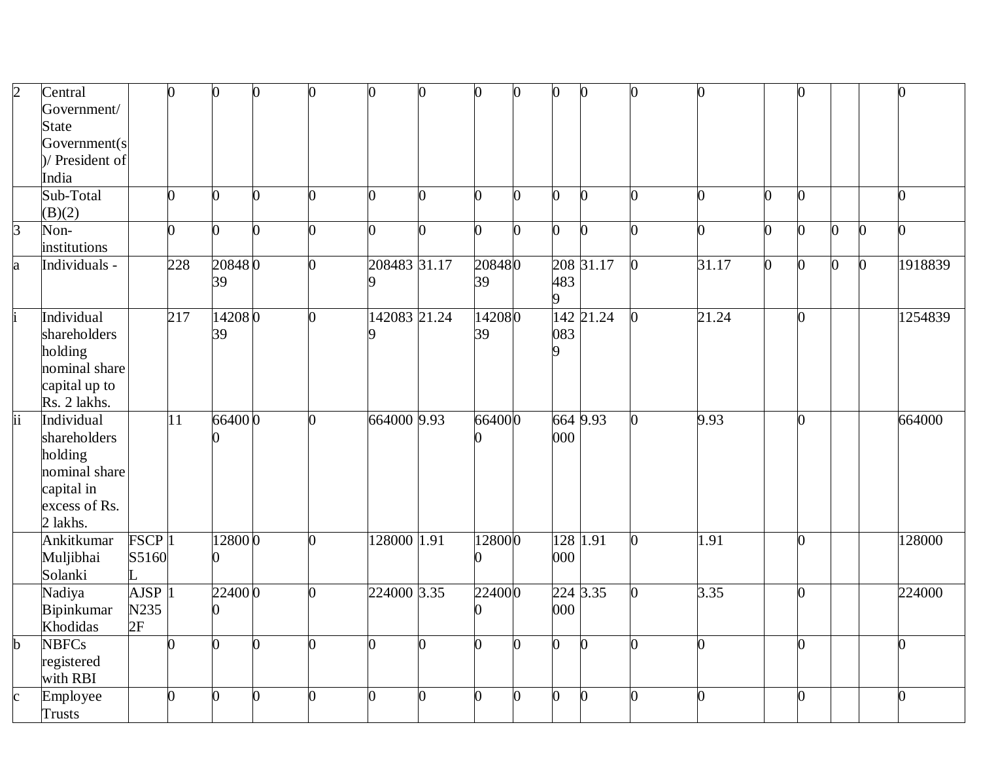| $\overline{2}$  | Central         |                     | $\overline{0}$ | $\overline{0}$ | $\Omega$       | n        | $\bf{0}$     | U | $\bf{0}$       | $\overline{0}$ | 0              | $\bf{0}$     | <sup>0</sup>   |          |   | 0              |                |                | 0       |
|-----------------|-----------------|---------------------|----------------|----------------|----------------|----------|--------------|---|----------------|----------------|----------------|--------------|----------------|----------|---|----------------|----------------|----------------|---------|
|                 | Government/     |                     |                |                |                |          |              |   |                |                |                |              |                |          |   |                |                |                |         |
|                 | <b>State</b>    |                     |                |                |                |          |              |   |                |                |                |              |                |          |   |                |                |                |         |
|                 | Government(s)   |                     |                |                |                |          |              |   |                |                |                |              |                |          |   |                |                |                |         |
|                 | )/ President of |                     |                |                |                |          |              |   |                |                |                |              |                |          |   |                |                |                |         |
|                 | India           |                     |                |                |                |          |              |   |                |                |                |              |                |          |   |                |                |                |         |
|                 | Sub-Total       |                     | O.             | O.             | <sup>0</sup>   | O.       | 0            |   | n              | ∩              | 0              | 0            |                | ሰ        |   | $\overline{0}$ |                |                | O.      |
|                 | (B)(2)          |                     |                |                |                |          |              |   |                |                |                |              |                |          |   |                |                |                |         |
| $\mathsf B$     | Non-            |                     | 0              | $\overline{0}$ | 0              | n        | 0            | U | $\overline{0}$ | O              | $\overline{0}$ | <sup>0</sup> |                | $\Omega$ | n | $\overline{0}$ | $\Omega$       | 0              | 0       |
|                 | institutions    |                     |                |                |                |          |              |   |                |                |                |              |                |          |   |                |                |                |         |
| a               | Individuals -   |                     | 228            | 208480         |                | O.       | 208483 31.17 |   | 208480         |                |                | 208 31.17    | $\mathbf{0}$   | 31.17    |   | $\mathbf{0}$   | $\overline{0}$ | $\overline{0}$ | 1918839 |
|                 |                 |                     |                | 39             |                |          |              |   | 39             |                | 483            |              |                |          |   |                |                |                |         |
|                 |                 |                     |                |                |                |          |              |   |                |                | 9              |              |                |          |   |                |                |                |         |
|                 | Individual      |                     | 217            | 142080         |                | n.       | 142083 21.24 |   | 142080         |                |                | 142 21.24    | $\mathbf{0}$   | 21.24    |   | $\overline{0}$ |                |                | 1254839 |
|                 | shareholders    |                     |                | 39             |                |          |              |   | 39             |                | 083            |              |                |          |   |                |                |                |         |
|                 | holding         |                     |                |                |                |          |              |   |                |                | Q              |              |                |          |   |                |                |                |         |
|                 | nominal share   |                     |                |                |                |          |              |   |                |                |                |              |                |          |   |                |                |                |         |
|                 | capital up to   |                     |                |                |                |          |              |   |                |                |                |              |                |          |   |                |                |                |         |
|                 | Rs. 2 lakhs.    |                     |                |                |                |          |              |   |                |                |                |              |                |          |   |                |                |                |         |
| $\overline{ii}$ | Individual      |                     | $ 11\rangle$   | 664000         |                | n.       | 664000 9.93  |   | 664000         |                |                | 6649.93      | $\Omega$       | 9.93     |   | $\overline{0}$ |                |                | 664000  |
|                 | shareholders    |                     |                |                |                |          |              |   |                |                | 000            |              |                |          |   |                |                |                |         |
|                 | holding         |                     |                |                |                |          |              |   |                |                |                |              |                |          |   |                |                |                |         |
|                 | nominal share   |                     |                |                |                |          |              |   |                |                |                |              |                |          |   |                |                |                |         |
|                 | capital in      |                     |                |                |                |          |              |   |                |                |                |              |                |          |   |                |                |                |         |
|                 | excess of Rs.   |                     |                |                |                |          |              |   |                |                |                |              |                |          |   |                |                |                |         |
|                 | 2 lakhs.        |                     |                |                |                |          |              |   |                |                |                |              |                |          |   |                |                |                |         |
|                 | Ankitkumar      | FSCP <sub>1</sub>   |                | 128000         |                | U        | 128000 1.91  |   | 128000         |                |                | 128 1.91     | $\overline{0}$ | 1.91     |   | $\overline{0}$ |                |                | 128000  |
|                 | Muljibhai       | S5160               |                | 0              |                |          |              |   |                |                | 000            |              |                |          |   |                |                |                |         |
|                 | Solanki         |                     |                |                |                |          |              |   |                |                |                |              |                |          |   |                |                |                |         |
|                 | Nadiya          | $AJSP$ <sup>1</sup> |                | 224000         |                |          | 224000 3.35  |   | 224000         |                |                | 224 3.35     |                | 3.35     |   | $\overline{0}$ |                |                | 224000  |
|                 | Bipinkumar      | N235                |                | 0              |                |          |              |   |                |                | 000            |              |                |          |   |                |                |                |         |
|                 | Khodidas        | 2F                  |                |                |                |          |              |   |                |                |                |              |                |          |   |                |                |                |         |
| $\mathbf b$     | <b>NBFCs</b>    |                     | 0              | $\overline{0}$ | $\Omega$       | O.       | 0            |   | O              | $\overline{0}$ | $\overline{0}$ | $\bf{0}$     |                | 0        |   | $\overline{0}$ |                |                | 0       |
|                 | registered      |                     |                |                |                |          |              |   |                |                |                |              |                |          |   |                |                |                |         |
|                 | with RBI        |                     |                |                |                |          |              |   |                |                |                |              |                |          |   |                |                |                |         |
|                 | Employee        |                     | $\overline{0}$ | $\overline{0}$ | $\overline{0}$ | $\Omega$ | O            |   | 0              | $\overline{0}$ | 0              | $\Omega$     |                | ∩        |   | $\overline{0}$ |                |                | 0       |
|                 | <b>Trusts</b>   |                     |                |                |                |          |              |   |                |                |                |              |                |          |   |                |                |                |         |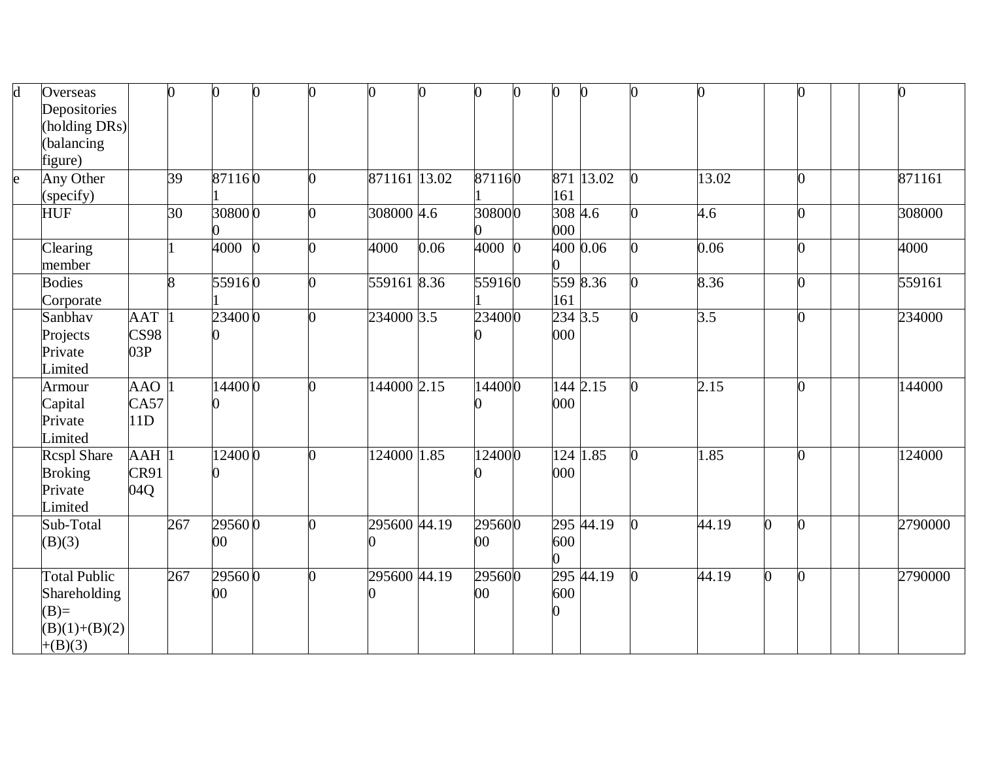| d | Overseas            |                    | $\overline{0}$ | 0          | n |              |      | 0      | $\overline{0}$ | 0       | $\bf{0}$  | O              |                  | 0              |         |
|---|---------------------|--------------------|----------------|------------|---|--------------|------|--------|----------------|---------|-----------|----------------|------------------|----------------|---------|
|   | Depositories        |                    |                |            |   |              |      |        |                |         |           |                |                  |                |         |
|   | holding DRs)        |                    |                |            |   |              |      |        |                |         |           |                |                  |                |         |
|   | balancing           |                    |                |            |   |              |      |        |                |         |           |                |                  |                |         |
|   | figure)             |                    |                |            |   |              |      |        |                |         |           |                |                  |                |         |
| e | Any Other           |                    | 39             | 871160     | n | 871161 13.02 |      | 871160 |                |         | 871 13.02 | $\Omega$       | 13.02            | 0              | 871161  |
|   | (specify)           |                    |                |            |   |              |      |        |                | 161     |           |                |                  |                |         |
|   | <b>HUF</b>          |                    | 30             | 308000     |   | 308000 4.6   |      | 308000 |                | 308 4.6 |           | $\Omega$       | 4.6              | 0              | 308000  |
|   |                     |                    |                |            |   |              |      |        |                | 000     |           |                |                  |                |         |
|   | Clearing            |                    |                | $4000 \ 0$ | n | 4000         | 0.06 | 4000 0 |                |         | 400 0.06  | O.             | 0.06             | $\overline{0}$ | 4000    |
|   | member              |                    |                |            |   |              |      |        |                |         |           |                |                  |                |         |
|   | <b>Bodies</b>       |                    | 8              | 559160     |   | 559161 8.36  |      | 559160 |                |         | 559 8.36  |                | 8.36             | 0              | 559161  |
|   | Corporate           |                    |                |            |   |              |      |        |                | 161     |           |                |                  |                |         |
|   | Sanbhav             | <b>AAT</b>         |                | 234000     |   | 234000 3.5   |      | 234000 |                | 234 3.5 |           | O.             | $\overline{3.5}$ | 0              | 234000  |
|   | Projects            | CS98               |                |            |   |              |      |        |                | 000     |           |                |                  |                |         |
|   | Private             | 03P                |                |            |   |              |      |        |                |         |           |                |                  |                |         |
|   | Limited             |                    |                |            |   |              |      |        |                |         |           |                |                  |                |         |
|   | Armour              | AAO                |                | 144000     |   | 144000 2.15  |      | 144000 |                |         | 144 2.15  |                | 2.15             | $\overline{0}$ | 144000  |
|   | Capital             | CA57               |                |            |   |              |      |        |                | 000     |           |                |                  |                |         |
|   | Private             | 11D                |                |            |   |              |      |        |                |         |           |                |                  |                |         |
|   | Limited             |                    |                |            |   |              |      |        |                |         |           |                |                  |                |         |
|   | Rcspl Share         | $AAH$ <sup>1</sup> |                | 124000     |   | 124000 1.85  |      | 124000 |                |         | 124 1.85  |                | 1.85             | O.             | 124000  |
|   | <b>Broking</b>      | CR91               |                |            |   |              |      |        |                | 000     |           |                |                  |                |         |
|   | Private             | 04Q                |                |            |   |              |      |        |                |         |           |                |                  |                |         |
|   | Limited             |                    |                |            |   |              |      |        |                |         |           |                |                  |                |         |
|   | Sub-Total           |                    | 267            | 295600     | ∩ | 295600 44.19 |      | 295600 |                |         | 295 44.19 | $\overline{0}$ | 44.19            | $\mathbf{0}$   | 2790000 |
|   | (B)(3)              |                    |                | $00\,$     |   |              |      | 00     |                | 600     |           |                |                  |                |         |
|   |                     |                    |                |            |   |              |      |        |                |         |           |                |                  |                |         |
|   | <b>Total Public</b> |                    | 267            | 295600     |   | 295600 44.19 |      | 295600 |                |         | 295 44.19 |                | 44.19            | 0              | 2790000 |
|   | Shareholding        |                    |                | $00\,$     |   |              |      | $00\,$ |                | 600     |           |                |                  |                |         |
|   | $(B)=$              |                    |                |            |   |              |      |        |                |         |           |                |                  |                |         |
|   | $(B)(1)+(B)(2)$     |                    |                |            |   |              |      |        |                |         |           |                |                  |                |         |
|   | $+(B)(3)$           |                    |                |            |   |              |      |        |                |         |           |                |                  |                |         |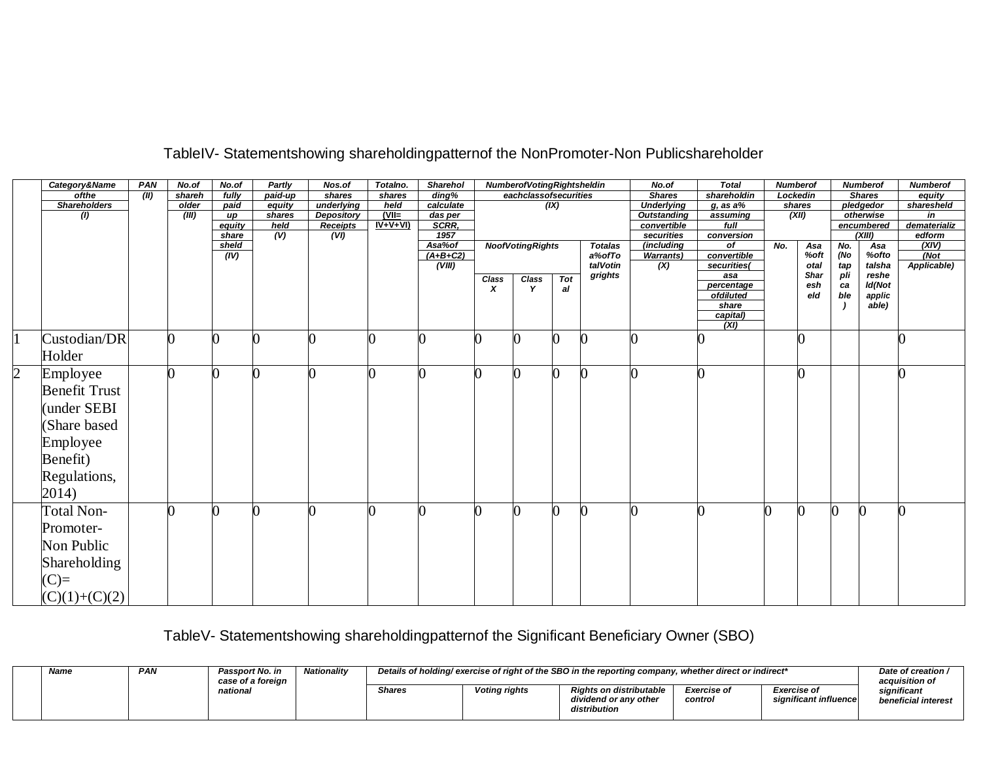|                | Category&Name        | <b>PAN</b> | No.of  | No.of           | Partly                            | Nos.of            | Totalno.  | <b>Sharehol</b>     |       | <b>NumberofVotingRightsheldin</b> |     |                | No.of                     | <b>Total</b>     | <b>Numberof</b> |          |     | <b>Numberof</b>      | <b>Numberof</b>        |
|----------------|----------------------|------------|--------|-----------------|-----------------------------------|-------------------|-----------|---------------------|-------|-----------------------------------|-----|----------------|---------------------------|------------------|-----------------|----------|-----|----------------------|------------------------|
|                | ofthe                | (II)       | shareh | fully           | paid-up                           | shares            | shares    | $\overline{diag\%}$ |       | eachclassofsecurities             |     |                | <b>Shares</b>             | shareholdin      |                 | Lockedin |     | <b>Shares</b>        | equity                 |
|                | <b>Shareholders</b>  |            | older  | paid            | equity                            | underlying        | held      | calculate           |       |                                   | (X) |                | <b>Underlying</b>         | $g$ , as a $%$   |                 | shares   |     | pledgedor            | sharesheld             |
|                | (1)                  |            | (III)  | up              | shares                            | <b>Depository</b> | $(VII=$   | das per             |       |                                   |     |                | <b>Outstanding</b>        | assuming         |                 | (XII)    |     | otherwise            | in                     |
|                |                      |            |        | equity<br>share | held<br>$\overline{(\mathsf{V})}$ | <b>Receipts</b>   | $IV+V+VI$ | SCRR,<br>1957       |       |                                   |     |                | convertible<br>securities | full             |                 |          |     | encumbered<br>(XIII) | dematerializ<br>edform |
|                |                      |            |        | sheld           |                                   | (VI)              |           | Asa%of              |       | <b>NoofVotingRights</b>           |     | <b>Totalas</b> | (including                | conversion<br>of | No.             | Asa      | No. | Asa                  | (XIV)                  |
|                |                      |            |        | (IV)            |                                   |                   |           | $(A+B+C2)$          |       |                                   |     | a%ofTo         | <b>Warrants)</b>          | convertible      |                 | %oft     | (No | %ofto                | (Not)                  |
|                |                      |            |        |                 |                                   |                   |           | (VIII)              |       |                                   |     | talVotin       | (X)                       | securities(      |                 | otal     | tap | talsha               | Applicable)            |
|                |                      |            |        |                 |                                   |                   |           |                     | Class | Class                             | Tot | grights        |                           | asa              |                 | Shar     | pli | reshe                |                        |
|                |                      |            |        |                 |                                   |                   |           |                     | x     | Y                                 | al  |                |                           | percentage       |                 | esh      | ca  | Id(Not               |                        |
|                |                      |            |        |                 |                                   |                   |           |                     |       |                                   |     |                |                           | ofdiluted        |                 | eld      | ble | applic               |                        |
|                |                      |            |        |                 |                                   |                   |           |                     |       |                                   |     |                |                           | share            |                 |          |     | able)                |                        |
|                |                      |            |        |                 |                                   |                   |           |                     |       |                                   |     |                |                           | capital)         |                 |          |     |                      |                        |
|                |                      |            |        |                 |                                   |                   |           |                     |       |                                   |     |                |                           | (XI)             |                 |          |     |                      |                        |
|                | Custodian/DR         |            | 0      |                 |                                   |                   |           |                     |       |                                   |     |                |                           |                  |                 |          |     |                      |                        |
|                | Holder               |            |        |                 |                                   |                   |           |                     |       |                                   |     |                |                           |                  |                 |          |     |                      |                        |
| $\overline{2}$ | Employee             |            |        |                 |                                   |                   |           |                     |       |                                   |     |                |                           |                  |                 |          |     |                      |                        |
|                | <b>Benefit Trust</b> |            |        |                 |                                   |                   |           |                     |       |                                   |     |                |                           |                  |                 |          |     |                      |                        |
|                |                      |            |        |                 |                                   |                   |           |                     |       |                                   |     |                |                           |                  |                 |          |     |                      |                        |
|                | under SEBI           |            |        |                 |                                   |                   |           |                     |       |                                   |     |                |                           |                  |                 |          |     |                      |                        |
|                | Share based          |            |        |                 |                                   |                   |           |                     |       |                                   |     |                |                           |                  |                 |          |     |                      |                        |
|                | Employee             |            |        |                 |                                   |                   |           |                     |       |                                   |     |                |                           |                  |                 |          |     |                      |                        |
|                | Benefit)             |            |        |                 |                                   |                   |           |                     |       |                                   |     |                |                           |                  |                 |          |     |                      |                        |
|                | Regulations,         |            |        |                 |                                   |                   |           |                     |       |                                   |     |                |                           |                  |                 |          |     |                      |                        |
|                |                      |            |        |                 |                                   |                   |           |                     |       |                                   |     |                |                           |                  |                 |          |     |                      |                        |
|                | 2014)                |            |        |                 |                                   |                   |           |                     |       |                                   |     |                |                           |                  |                 |          |     |                      |                        |
|                | <b>Total Non-</b>    |            |        |                 |                                   |                   |           |                     |       |                                   |     |                |                           |                  |                 |          |     |                      | Ŋ                      |
|                | Promoter-            |            |        |                 |                                   |                   |           |                     |       |                                   |     |                |                           |                  |                 |          |     |                      |                        |
|                | Non Public           |            |        |                 |                                   |                   |           |                     |       |                                   |     |                |                           |                  |                 |          |     |                      |                        |
|                |                      |            |        |                 |                                   |                   |           |                     |       |                                   |     |                |                           |                  |                 |          |     |                      |                        |
|                | <b>Shareholding</b>  |            |        |                 |                                   |                   |           |                     |       |                                   |     |                |                           |                  |                 |          |     |                      |                        |
|                | $(C)=$               |            |        |                 |                                   |                   |           |                     |       |                                   |     |                |                           |                  |                 |          |     |                      |                        |
|                | $(C)(1)+(C)(2)$      |            |        |                 |                                   |                   |           |                     |       |                                   |     |                |                           |                  |                 |          |     |                      |                        |

## TableIV- Statementshowing shareholdingpatternof the NonPromoter-Non Publicshareholder

## TableV- Statementshowing shareholdingpatternof the Significant Beneficiary Owner (SBO)

| <b>Name</b> | <b>PAN</b> | Passport No. in<br>case of a foreign | Nationality |        |                      | "Details of holding/exercise of right of the SBO in the reporting company, whether direct or indirect |                               |                                             | Date of creation /<br>acquisition of |
|-------------|------------|--------------------------------------|-------------|--------|----------------------|-------------------------------------------------------------------------------------------------------|-------------------------------|---------------------------------------------|--------------------------------------|
|             |            | national                             |             | Shares | <b>Voting rights</b> | <b>Rights on distributable</b><br>dividend or anv other<br>distribution                               | <b>Exercise of</b><br>control | <b>Exercise of</b><br>significant influence | sianificant<br>beneficial interest   |